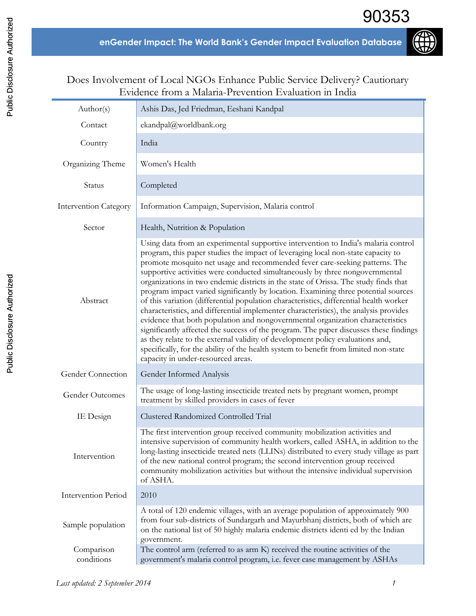

## Does Involvement of Local NGOs Enhance Public Service Delivery? Cautionary Evidence from a Malaria-Prevention Evaluation in India

| Author(s)                    | Ashis Das, Jed Friedman, Eeshani Kandpal                                                                                                                                                                                                                                                                                                                                                                                                                                                                                                                                                                                                                                                                                                                                                                                                                                                                                                                                                                                                                                                         |
|------------------------------|--------------------------------------------------------------------------------------------------------------------------------------------------------------------------------------------------------------------------------------------------------------------------------------------------------------------------------------------------------------------------------------------------------------------------------------------------------------------------------------------------------------------------------------------------------------------------------------------------------------------------------------------------------------------------------------------------------------------------------------------------------------------------------------------------------------------------------------------------------------------------------------------------------------------------------------------------------------------------------------------------------------------------------------------------------------------------------------------------|
| Contact                      | ekandpal@worldbank.org                                                                                                                                                                                                                                                                                                                                                                                                                                                                                                                                                                                                                                                                                                                                                                                                                                                                                                                                                                                                                                                                           |
| Country                      | India                                                                                                                                                                                                                                                                                                                                                                                                                                                                                                                                                                                                                                                                                                                                                                                                                                                                                                                                                                                                                                                                                            |
| Organizing Theme             | Women's Health                                                                                                                                                                                                                                                                                                                                                                                                                                                                                                                                                                                                                                                                                                                                                                                                                                                                                                                                                                                                                                                                                   |
| Status                       | Completed                                                                                                                                                                                                                                                                                                                                                                                                                                                                                                                                                                                                                                                                                                                                                                                                                                                                                                                                                                                                                                                                                        |
| <b>Intervention Category</b> | Information Campaign, Supervision, Malaria control                                                                                                                                                                                                                                                                                                                                                                                                                                                                                                                                                                                                                                                                                                                                                                                                                                                                                                                                                                                                                                               |
| Sector                       | Health, Nutrition & Population                                                                                                                                                                                                                                                                                                                                                                                                                                                                                                                                                                                                                                                                                                                                                                                                                                                                                                                                                                                                                                                                   |
| Abstract                     | Using data from an experimental supportive intervention to India's malaria control<br>program, this paper studies the impact of leveraging local non-state capacity to<br>promote mosquito net usage and recommended fever care-seeking patterns. The<br>supportive activities were conducted simultaneously by three nongovernmental<br>organizations in two endemic districts in the state of Orissa. The study finds that<br>program impact varied significantly by location. Examining three potential sources<br>of this variation (differential population characteristics, differential health worker<br>characteristics, and differential implementer characteristics), the analysis provides<br>evidence that both population and nongovernmental organization characteristics<br>significantly affected the success of the program. The paper discusses these findings<br>as they relate to the external validity of development policy evaluations and,<br>specifically, for the ability of the health system to benefit from limited non-state<br>capacity in under-resourced areas. |
| Gender Connection            | Gender Informed Analysis                                                                                                                                                                                                                                                                                                                                                                                                                                                                                                                                                                                                                                                                                                                                                                                                                                                                                                                                                                                                                                                                         |
| Gender Outcomes              | The usage of long-lasting insecticide treated nets by pregnant women, prompt<br>treatment by skilled providers in cases of fever                                                                                                                                                                                                                                                                                                                                                                                                                                                                                                                                                                                                                                                                                                                                                                                                                                                                                                                                                                 |
| IE Design                    | Clustered Randomized Controlled Trial                                                                                                                                                                                                                                                                                                                                                                                                                                                                                                                                                                                                                                                                                                                                                                                                                                                                                                                                                                                                                                                            |
| Intervention                 | The first intervention group received community mobilization activities and<br>intensive supervision of community health workers, called ASHA, in addition to the<br>long-lasting insecticide treated nets (LLINs) distributed to every study village as part<br>of the new national control program; the second intervention group received<br>community mobilization activities but without the intensive individual supervision<br>of ASHA.                                                                                                                                                                                                                                                                                                                                                                                                                                                                                                                                                                                                                                                   |
| Intervention Period          | 2010                                                                                                                                                                                                                                                                                                                                                                                                                                                                                                                                                                                                                                                                                                                                                                                                                                                                                                                                                                                                                                                                                             |
| Sample population            | A total of 120 endemic villages, with an average population of approximately 900<br>from four sub-districts of Sundargarh and Mayurbhanj districts, both of which are<br>on the national list of 50 highly malaria endemic districts identi ed by the Indian<br>government.                                                                                                                                                                                                                                                                                                                                                                                                                                                                                                                                                                                                                                                                                                                                                                                                                      |
| Comparison<br>conditions     | The control arm (referred to as arm K) received the routine activities of the<br>government's malaria control program, i.e. fever case management by ASHAs                                                                                                                                                                                                                                                                                                                                                                                                                                                                                                                                                                                                                                                                                                                                                                                                                                                                                                                                       |